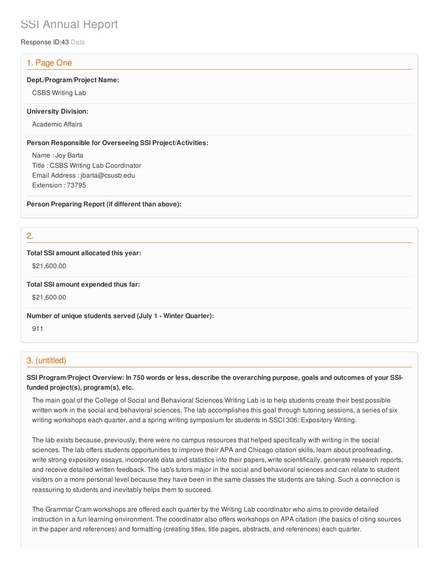# SSI Annual Report

Response ID:43 Data

# 1. Page One

## **Dept./Program/Project Name:**

CSBS Writing Lab

## **University Division:**

Academic Affairs

## **Person Responsible for Overseeing SSI Project/Activities:**

Name : Joy Barta Title : CSBS Writing Lab Coordinator Email Address : jbarta@csusb.edu Extension : 73795

**Person Preparing Report (if different than above):**

2.

## **Total SSI amount allocated this year:**

\$21,600.00

**Total SSI amount expended thus far:**

\$21,600.00

**Number of unique students served (July 1 - Winter Quarter):**

911

# 3. (untitled)

# SSI Program/Project Overview: In 750 words or less, describe the overarching purpose, goals and outcomes of your SSI**funded project(s), program(s), etc.**

The main goal of the College of Social and Behavioral Sciences Writing Lab is to help students create their best possible written work in the social and behavioral sciences. The lab accomplishes this goal through tutoring sessions, a series of six writing workshops each quarter, and a spring writing symposium for students in SSCI 306: Expository Writing.

The lab exists because, previously, there were no campus resources that helped specifically with writing in the social sciences. The lab offers students opportunities to improve their APA and Chicago citation skills, learn about proofreading, write strong expository essays, incorporate data and statistics into their papers, write scientifically, generate research reports, and receive detailed written feedback. The lab's tutors major in the social and behavioral sciences and can relate to student visitors on a more personal level because they have been in the same classes the students are taking. Such a connection is reassuring to students and inevitably helps them to succeed.

The Grammar Cram workshops are offered each quarter by the Writing Lab coordinator who aims to provide detailed instruction in a fun learning environment. The coordinator also offers workshops on APA citation (the basics of citing sources in the paper and references) and formatting (creating titles, title pages, abstracts, and references) each quarter.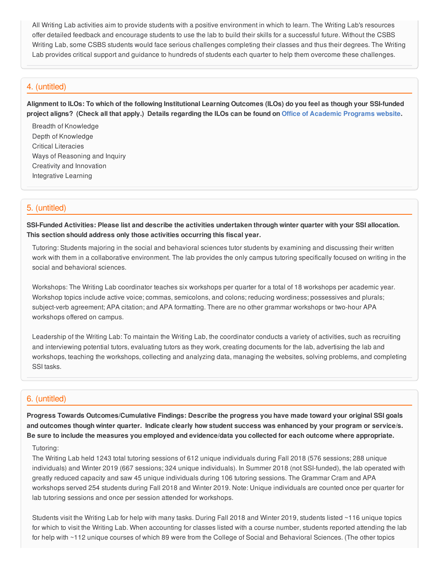All Writing Lab activities aim to provide students with a positive environment in which to learn. The Writing Lab's resources offer detailed feedback and encourage students to use the lab to build their skills for a successful future. Without the CSBS Writing Lab, some CSBS students would face serious challenges completing their classes and thus their degrees. The Writing Lab provides critical support and guidance to hundreds of students each quarter to help them overcome these challenges.

## 4. (untitled)

Alignment to ILOs: To which of the following Institutional Learning Outcomes (ILOs) do you feel as though your SSI-funded project aligns? (Check all that apply.) Details regarding the ILOs can be found on Office of [Academic](https://www.csusb.edu/sites/csusb/files/CSUSB_Institutional_Learning_Outcomes-Endorsed.pdf) Programs website.

Breadth of Knowledge Depth of Knowledge Critical Literacies Ways of Reasoning and Inquiry Creativity and Innovation Integrative Learning

## 5. (untitled)

SSI-Funded Activities: Please list and describe the activities undertaken through winter quarter with your SSI allocation. **This section should address only those activities occurring this fiscal year.**

Tutoring: Students majoring in the social and behavioral sciences tutor students by examining and discussing their written work with them in a collaborative environment. The lab provides the only campus tutoring specifically focused on writing in the social and behavioral sciences.

Workshops: The Writing Lab coordinator teaches six workshops per quarter for a total of 18 workshops per academic year. Workshop topics include active voice; commas, semicolons, and colons; reducing wordiness; possessives and plurals; subject-verb agreement; APA citation; and APA formatting. There are no other grammar workshops or two-hour APA workshops offered on campus.

Leadership of the Writing Lab: To maintain the Writing Lab, the coordinator conducts a variety of activities, such as recruiting and interviewing potential tutors, evaluating tutors as they work, creating documents for the lab, advertising the lab and workshops, teaching the workshops, collecting and analyzing data, managing the websites, solving problems, and completing SSI tasks.

## 6. (untitled)

**Progress Towards Outcomes/Cumulative Findings: Describe the progress you have made toward your original SSI goals** and outcomes though winter quarter. Indicate clearly how student success was enhanced by your program or service/s. Be sure to include the measures you employed and evidence/data you collected for each outcome where appropriate.

#### Tutoring:

The Writing Lab held 1243 total tutoring sessions of 612 unique individuals during Fall 2018 (576 sessions; 288 unique individuals) and Winter 2019 (667 sessions; 324 unique individuals). In Summer 2018 (not SSI-funded), the lab operated with greatly reduced capacity and saw 45 unique individuals during 106 tutoring sessions. The Grammar Cram and APA workshops served 254 students during Fall 2018 and Winter 2019. Note: Unique individuals are counted once per quarter for lab tutoring sessions and once per session attended for workshops.

Students visit the Writing Lab for help with many tasks. During Fall 2018 and Winter 2019, students listed ~116 unique topics for which to visit the Writing Lab. When accounting for classes listed with a course number, students reported attending the lab for help with ~112 unique courses of which 89 were from the College of Social and Behavioral Sciences. (The other topics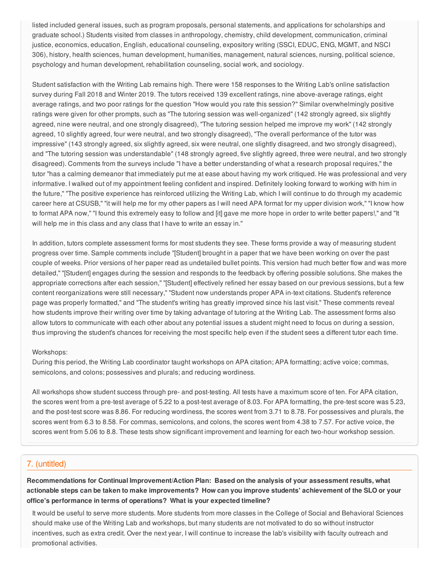listed included general issues, such as program proposals, personal statements, and applications for scholarships and graduate school.) Students visited from classes in anthropology, chemistry, child development, communication, criminal justice, economics, education, English, educational counseling, expository writing (SSCI, EDUC, ENG, MGMT, and NSCI 306), history, health sciences, human development, humanities, management, natural sciences, nursing, political science, psychology and human development, rehabilitation counseling, social work, and sociology.

Student satisfaction with the Writing Lab remains high. There were 158 responses to the Writing Lab's online satisfaction survey during Fall 2018 and Winter 2019. The tutors received 139 excellent ratings, nine above-average ratings, eight average ratings, and two poor ratings for the question "How would you rate this session?" Similar overwhelmingly positive ratings were given for other prompts, such as "The tutoring session was well-organized" (142 strongly agreed, six slightly agreed, nine were neutral, and one strongly disagreed), "The tutoring session helped me improve my work" (142 strongly agreed, 10 slightly agreed, four were neutral, and two strongly disagreed), "The overall performance of the tutor was impressive" (143 strongly agreed, six slightly agreed, six were neutral, one slightly disagreed, and two strongly disagreed), and "The tutoring session was understandable" (148 strongly agreed, five slightly agreed, three were neutral, and two strongly disagreed). Comments from the surveys include "I have a better understanding of what a research proposal requires," the tutor "has a calming demeanor that immediately put me at ease about having my work critiqued. He was professional and very informative. I walked out of my appointment feeling confident and inspired. Definitely looking forward to working with him in the future," "The positive experience has reinforced utilizing the Writing Lab, which I will continue to do through my academic career here at CSUSB," "it will help me for my other papers as I will need APA format for my upper division work," "I know how to format APA now," "I found this extremely easy to follow and [it] gave me more hope in order to write better papers!," and "It will help me in this class and any class that I have to write an essay in."

In addition, tutors complete assessment forms for most students they see. These forms provide a way of measuring student progress over time. Sample comments include "[Student] brought in a paper that we have been working on over the past couple of weeks. Prior versions of her paper read as undetailed bullet points. This version had much better flow and was more detailed," "[Student] engages during the session and responds to the feedback by offering possible solutions. She makes the appropriate corrections after each session," "[Student] effectively refined her essay based on our previous sessions, but a few content reorganizations were still necessary," "Student now understands proper APA in-text citations. Student's reference page was properly formatted," and "The student's writing has greatly improved since his last visit." These comments reveal how students improve their writing over time by taking advantage of tutoring at the Writing Lab. The assessment forms also allow tutors to communicate with each other about any potential issues a student might need to focus on during a session, thus improving the student's chances for receiving the most specific help even if the student sees a different tutor each time.

#### Workshops:

During this period, the Writing Lab coordinator taught workshops on APA citation; APA formatting; active voice; commas, semicolons, and colons; possessives and plurals; and reducing wordiness.

All workshops show student success through pre- and post-testing. All tests have a maximum score of ten. For APA citation, the scores went from a pre-test average of 5.22 to a post-test average of 8.03. For APA formatting, the pre-test score was 5.23, and the post-test score was 8.86. For reducing wordiness, the scores went from 3.71 to 8.78. For possessives and plurals, the scores went from 6.3 to 8.58. For commas, semicolons, and colons, the scores went from 4.38 to 7.57. For active voice, the scores went from 5.06 to 8.8. These tests show significant improvement and learning for each two-hour workshop session.

## 7. (untitled)

**Recommendations for Continual Improvement/Action Plan: Based on the analysis of your assessment results, what** actionable steps can be taken to make improvements? How can you improve students' achievement of the SLO or your **office's performance in terms of operations? What is your expected timeline?**

It would be useful to serve more students. More students from more classes in the College of Social and Behavioral Sciences should make use of the Writing Lab and workshops, but many students are not motivated to do so without instructor incentives, such as extra credit. Over the next year, I will continue to increase the lab's visibility with faculty outreach and promotional activities.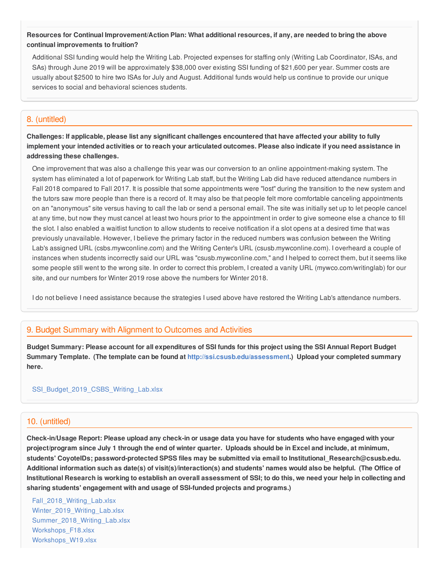## Resources for Continual Improvement/Action Plan: What additional resources, if any, are needed to bring the above **continual improvements to fruition?**

Additional SSI funding would help the Writing Lab. Projected expenses for staffing only (Writing Lab Coordinator, ISAs, and SAs) through June 2019 will be approximately \$38,000 over existing SSI funding of \$21,600 per year. Summer costs are usually about \$2500 to hire two ISAs for July and August. Additional funds would help us continue to provide our unique services to social and behavioral sciences students.

# 8. (untitled)

Challenges: If applicable, please list any significant challenges encountered that have affected your ability to fully implement your intended activities or to reach your articulated outcomes. Please also indicate if you need assistance in **addressing these challenges.**

One improvement that was also a challenge this year was our conversion to an online appointment-making system. The system has eliminated a lot of paperwork for Writing Lab staff, but the Writing Lab did have reduced attendance numbers in Fall 2018 compared to Fall 2017. It is possible that some appointments were "lost" during the transition to the new system and the tutors saw more people than there is a record of. It may also be that people felt more comfortable canceling appointments on an "anonymous" site versus having to call the lab or send a personal email. The site was initially set up to let people cancel at any time, but now they must cancel at least two hours prior to the appointment in order to give someone else a chance to fill the slot. I also enabled a waitlist function to allow students to receive notification if a slot opens at a desired time that was previously unavailable. However, I believe the primary factor in the reduced numbers was confusion between the Writing Lab's assigned URL (csbs.mywconline.com) and the Writing Center's URL (csusb.mywconline.com). I overheard a couple of instances when students incorrectly said our URL was "csusb.mywconline.com," and I helped to correct them, but it seems like some people still went to the wrong site. In order to correct this problem, I created a vanity URL (mywco.com/writinglab) for our site, and our numbers for Winter 2019 rose above the numbers for Winter 2018.

I do not believe I need assistance because the strategies I used above have restored the Writing Lab's attendance numbers.

# 9. Budget Summary with Alignment to Outcomes and Activities

Budget Summary: Please account for all expenditures of SSI funds for this project using the SSI Annual Report Budget **Summary Template. (The template can be found at <http://ssi.csusb.edu/assessment>.) Upload your completed summary here.**

## [SSI\\_Budget\\_2019\\_CSBS\\_Writing\\_Lab.xlsx](https://surveygizmoresponseuploads.s3.amazonaws.com/fileuploads/98679/3939151/118-a20cdbfbc0fe7e8afa38c9d585eea385_SSI_Budget_2019_CSBS_Writing_Lab.xlsx)

## 10. (untitled)

Check-in/Usage Report: Please upload any check-in or usage data you have for students who have engaged with your project/program since July 1 through the end of winter quarter. Uploads should be in Excel and include, at minimum, **students' CoyoteIDs; password-protected SPSS files may be submitted via email to Institutional\_Research@csusb.edu.** Additional information such as date(s) of visit(s)/interaction(s) and students' names would also be helpful. (The Office of Institutional Research is working to establish an overall assessment of SSI; to do this, we need your help in collecting and **sharing students' engagement with and usage of SSI-funded projects and programs.)**

[Fall\\_2018\\_Writing\\_Lab.xlsx](https://surveygizmoresponseuploads.s3.amazonaws.com/fileuploads/98679/3939151/195-899900779287dd7fa7058c1daa5a26f5_Fall_2018_Writing_Lab.xlsx) Winter 2019 Writing Lab.xlsx Summer 2018 Writing Lab.xlsx [Workshops\\_F18.xlsx](https://surveygizmoresponseuploads.s3.amazonaws.com/fileuploads/98679/3939151/160-3d6f8982921c3c67499022a257d565c2_Workshops_F18.xlsx) [Workshops\\_W19.xlsx](https://surveygizmoresponseuploads.s3.amazonaws.com/fileuploads/98679/3939151/160-5bac9dd86fc6ec8e0bd6bc2e63f01aaf_Workshops_W19.xlsx)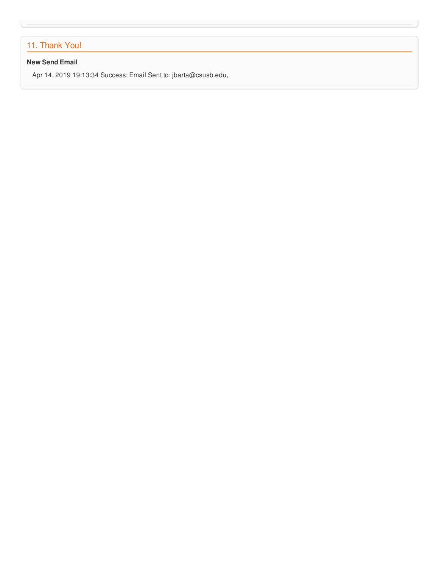# 11. Thank You!

## **New Send Email**

Apr 14, 2019 19:13:34 Success: Email Sent to: jbarta@csusb.edu,